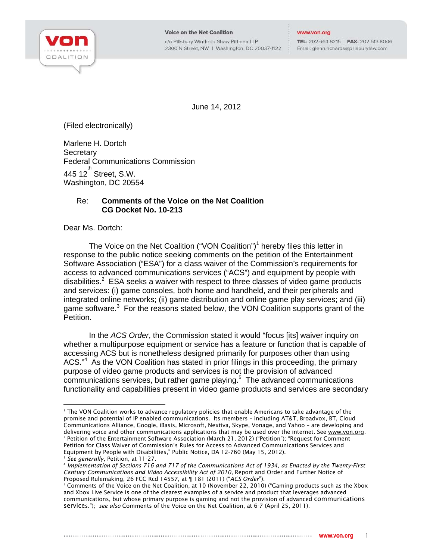

c/o Pillsbury Winthrop Shaw Pittman LLP 2300 N Street, NW | Washington, DC 20037-1122 TEL: 202.663.8215 | FAX: 202.513.8006 Email: glenn.richards@pillsburylaw.com

June 14, 2012

(Filed electronically)

Marlene H. Dortch **Secretary** Federal Communications Commission  $445$  12 $^{th}$  Street, S.W. Washington, DC 20554

## Re: **Comments of the Voice on the Net Coalition CG Docket No. 10-213**

Dear Ms. Dortch:

The Voice on the Net Coalition ("VON Coalition")<sup>1</sup> hereby files this letter in response to the public notice seeking comments on the petition of the Entertainment Software Association ("ESA") for a class waiver of the Commission's requirements for access to advanced communications services ("ACS") and equipment by people with disabilities.<sup>2</sup> ESA seeks a waiver with respect to three classes of video game products and services: (i) game consoles, both home and handheld, and their peripherals and integrated online networks; (ii) game distribution and online game play services; and (iii) game software.<sup>3</sup> For the reasons stated below, the VON Coalition supports grant of the Petition.

In the *ACS Order*, the Commission stated it would "focus [its] waiver inquiry on whether a multipurpose equipment or service has a feature or function that is capable of accessing ACS but is nonetheless designed primarily for purposes other than using ACS.<sup>"4</sup> As the VON Coalition has stated in prior filings in this proceeding, the primary purpose of video game products and services is not the provision of advanced  $\overline{\text{communications}}$  services, but rather game playing. $^5$  The advanced communications functionality and capabilities present in video game products and services are secondary

j 1 The VON Coalition works to advance regulatory policies that enable Americans to take advantage of the promise and potential of IP enabled communications. Its members – including AT&T, Broadvox, BT, Cloud Communications Alliance, Google, iBasis, Microsoft, Nextiva, Skype, Vonage, and Yahoo – are developing and delivering voice and other communications applications that may be used over the internet. See www.von.org. <sup>2</sup> Petition of the Entertainment Software Association (March 21, 2012) ("Petition"); "Request for Comment Petition for Class Waiver of Commission's Rules for Access to Advanced Communications Services and Equipment by People with Disabilities," Public Notice, DA 12-760 (May 15, 2012).

<sup>&</sup>lt;sup>3</sup> See generally, Petition, at 11-27.<br><sup>4</sup> Implementation of Sections 716 and 717 of the Communications Act of 1934, as Enacted by the Twenty-First *Century Communications and Video Accessibility Act of 2010*, Report and Order and Further Notice of Proposed Rulemaking, 26 FCC Rcd 14557, at ¶ 181 (2011) ("*ACS Order*"). 5

<sup>&</sup>lt;sup>5</sup> Comments of the Voice on the Net Coalition, at 10 (November 22, 2010) ("Gaming products such as the Xbox and Xbox Live Service is one of the clearest examples of a service and product that leverages advanced communications, but whose primary purpose is gaming and not the provision of advanced communications services."); *see also* Comments of the Voice on the Net Coalition, at 6-7 (April 25, 2011).